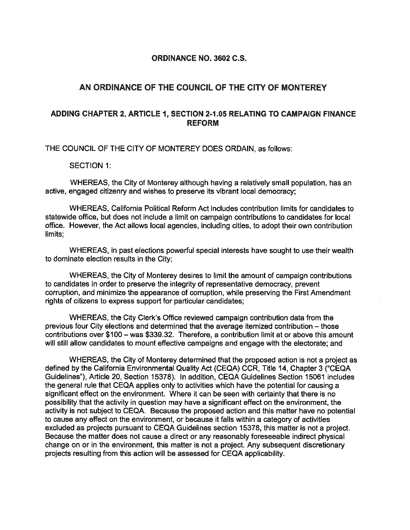#### **ORDINANCE NO. 3602 C.S.**

## **AN ORDINANCE OF THE COUNCIL OF THE CITY OF MONTEREY**

### **ADDING CHAPTER 2, ARTICLE 1, SECTION 2-1.05 RELATING TO CAMPAIGN FINANCE REFORM**

THE COUNCIL OF THE CITY OF MONTEREY DOES ORDAIN, as follows:

SECTION 1:

WHEREAS, the City of Monterey although having a relatively small population, has an active, engaged citizenry and wishes to preserve its vibrant local democracy;

WHEREAS, California Political Reform Act includes contribution limits for candidates to statewide office, but does not include a limit on campaign contributions to candidates for local office. However, the Act allows local agencies, including cities, to adopt their own contribution limits;

WHEREAS, in past elections powerful special interests have sought to use their wealth to dominate election results in the City;

WHEREAS, the City of Monterey desires to limit the amount of campaign contributions to candidates in order to preserve the integrity of representative democracy, prevent corruption, and minimize the appearance of corruption, while preserving the First Amendment rights of citizens to express support for particular candidates;

WHEREAS, the City Clerk's Office reviewed campaign contribution data from the previous four City elections and determined that the average itemized contribution – those contributions over \$100 - was \$339.32. Therefore, a contribution limit at or above this amount will still allow candidates to mount effective campaigns and engage with the electorate; and

WHEREAS, the City of Monterey determined that the proposed action is not a project as defined by the California Environmental Quality Act (CEQA) CCR, Title 14, Chapter 3 ("CEQA Guidelines"), Article 20, Section 15378). In addition, CEQA Guidelines Section 15061 includes the general rule that CEQA applies only to activities which have the potential for causing a significant effect on the environment. Where it can be seen with certainty that there is no possibility that the activity in question may have a significant effect on the environment, the activity is not subject to CEQA. Because the proposed action and this matter have no potential to cause any effect on the environment, or because it falls within a category of activities excluded as projects pursuant to CEQA Guidelines section 15378, this matter is not a project. Because the matter does not cause a direct or any reasonably foreseeable indirect physical change on or in the environment, this matter is not a project. Any subsequent discretionary projects resulting from this action will be assessed for CEQA applicability.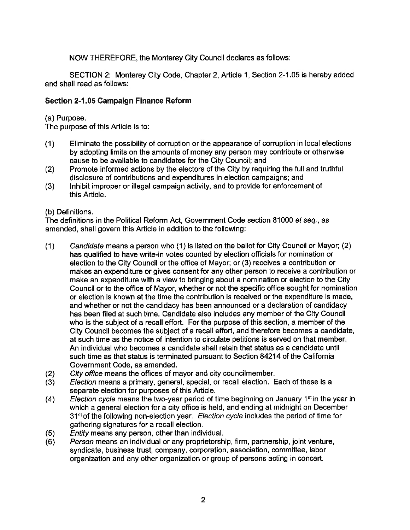NOW THEREFORE, the Monterey City Council declares as follows:

SECTION 2: Monterey City Code, Chapter 2, Article 1, Section 2-1.05 is hereby added and shall read as follows:

## **Section 2-1.05 Campaign Finance Reform**

(a) Purpose.

The purpose of this Article is to:

- ( 1) Eliminate the possibility of corruption or the appearance of corruption in local elections by adopting limits on the amounts of money any person may contribute or otherwise cause to be available to candidates for the City Council; and
- (2) Promote informed actions by the electors of the City by requiring the full and truthful disclosure of contributions and expenditures in election campaigns; and
- (3) Inhibit improper or illegal campaign activity, and to provide for enforcement of this Article.

(b) Definitions.

The definitions in the Political Reform Act, Government Code section 81000 et seq., as amended, shall govern this Article in addition to the following:

- (1) Candidate means a person who (1) is listed on the ballot for City Council or Mayor; (2) has qualified to have write-in votes counted by election officials for nomination or election to the City Council or the office of Mayor; or (3) receives a contribution or makes an expenditure or gives consent for any other person to receive a contribution or make an expenditure with a view to bringing about a nomination or election to the City Council or to the office of Mayor, whether or not the specific office sought for nomination or election is known at the time the contribution is received or the expenditure is made, and whether or not the candidacy has been announced or a declaration of candidacy has been filed at such time. Candidate also includes any member of the City Council who is the subject of a recall effort. For the purpose of this section, a member of the City Council becomes the subject of a recall effort, and therefore becomes a candidate, at such time as the notice of intention to circulate petitions is served on that member. An individual who becomes a candidate shall retain that status as a candidate until such time as that status is terminated pursuant to Section 84214 of the California Government Code, as amended.
- (2) City office means the offices of mayor and city councilmember.
- (3) Election means a primary, general, special, or recall election. Each of these is a separate election for purposes of this Article.
- (4) Election cycle means the two-year period of time beginning on January 1st in the year in which a general election for a city office is held, and ending at midnight on December 31<sup>st</sup> of the following non-election year. Election cycle includes the period of time for gathering signatures for a recall election.
- (5) Entity means any person, other than individual.
- (6) Person means an individual or any proprietorship, firm, partnership, joint venture, syndicate, business trust, company, corporation, association, committee, labor organization and any other organization or group of persons acting in concert.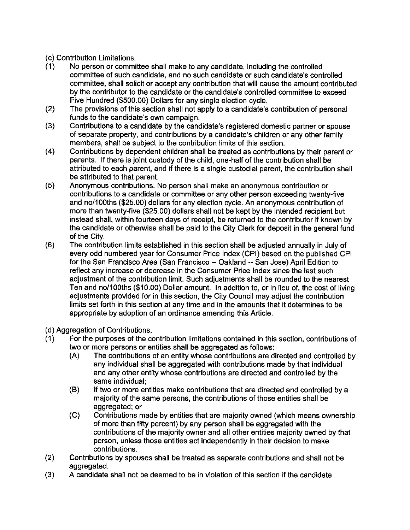# (c) Contribution Limitations.

- (1) No person or committee shall make to any candidate, including the controlled committee of such candidate, and no such candidate or such candidate's controlled committee, shall solicit or accept any contribution that will cause the amount contributed by the contributor to the candidate or the candidate's controlled committee to exceed Five Hundred (\$500.00) Dollars for any single election cycle.
- (2) The provisions of this section shall not apply to a candidate's contribution of personal funds to the candidate's own campaign.
- (3) Contributions to a candidate by the candidate's registered domestic partner or spouse of separate property, and contributions by a candidate's children or any other family members, shall be subject to the contribution limits of this section.
- (4) Contributions by dependent children shall be treated as contributions by their parent or parents. If there is joint custody of the child, one-half of the contribution shall be attributed to each parent, and if there is a single custodial parent, the contribution shall be attributed to that parent.
- (5) Anonymous contributions. No person shall make an anonymous contribution or contributions to a candidate or committee or any other person exceeding twenty-five and no/100ths (\$25.00) dollars for any election cycle. An anonymous contribution of more than twenty-five (\$25.00) dollars shall not be kept by the intended recipient but instead shall, within fourteen days of receipt, be returned to the contributor if known by the candidate or otherwise shall be paid to the City Clerk for deposit in the general fund of the City.
- (6) The contribution limits established in this section shall be adjusted annually in July of every odd numbered year for Consumer Price Index (CPI) based on the published CPI for the San Francisco Area (San Francisco -- Oakland -- San Jose) April Edition to reflect any increase or decrease in the Consumer Price Index since the last such adjustment of the contribution limit. Such adjustments shall be rounded to the nearest Ten and no/100ths (\$10.00) Dollar amount. In addition to, or in lieu of, the cost of living adjustments provided for in this section, the City Council may adjust the contribution limits set forth in this section at any time and in the amounts that it determines to be appropriate by adoption of an ordinance amending this Article.
- (d) Aggregation of Contributions.
- (1) For the purposes of the contribution limitations contained in this section, contributions of two or more persons or entities shall be aggregated as follows:
	- (A) The contributions of an entity whose contributions are directed and controlled by any individual shall be aggregated with contributions made by that individual and any other entity whose contributions are directed and controlled by the same individual;
	- (B) If two or more entities make contributions that are directed and controlled by a majority of the same persons, the contributions of those entities shall be aggregated; or
	- (C) Contributions made by entities that are majority owned (which means ownership of more than fifty percent) by any person shall be aggregated with the contributions of the majority owner and all other entities majority owned by that person, unless those entities act independently in their decision to make contributions.
- (2) Contributions by spouses shall be treated as separate contributions and shall not be aggregated.
- (3) A candidate shall not be deemed to be in violation of this section if the candidate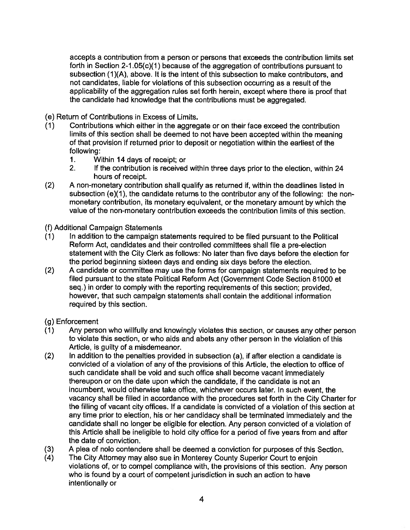accepts a contribution from a person or persons that exceeds the contribution limits set forth in Section 2-1.05(c)(1) because of the aggregation of contributions pursuant to subsection (1)(A), above. It is the intent of this subsection to make contributors, and not candidates, liable for violations of this subsection occurring as a result of the applicability of the aggregation rules set forth herein, except where there is proof that the candidate had knowledge that the contributions must be aggregated.

( e) Return of Contributions in Excess of Limits.

- (1) Contributions which either in the aggregate or on their face exceed the contribution limits of this section shall be deemed to not have been accepted within the meaning of that provision if returned prior to deposit or negotiation within the earliest of the following:
	- 1. Within 14 days of receipt; or
	- 2. If the contribution is received within three days prior to the election, within 24 hours of receipt.
- (2) A non-monetary contribution shall qualify as returned if, within the deadlines listed in subsection (e)(1), the candidate returns to the contributor any of the following: the nonmonetary contribution, its monetary equivalent, or the monetary amount by which the value of the non-monetary contribution exceeds the contribution limits of this section.

(f) Additional Campaign Statements

- (1) In addition to the campaign statements required to be filed pursuant to the Political Reform Act, candidates and their controlled committees shall file a pre-election statement with the City Clerk as follows: No later than five days before the election for the period beginning sixteen days and ending six days before the election.
- (2) A candidate or committee may use the forms for campaign statements required to be filed pursuant to the state Political Reform Act (Government Code Section 81000 et seq.) in order to comply with the reporting requirements of this section; provided, however, that such campaign statements shall contain the additional information required by this section.

### (g) Enforcement

- (1) Any person who willfully and knowingly violates this section, or causes any other person to violate this section, or who aids and abets any other person in the violation of this Article, is guilty of a misdemeanor.
- $(2)$  In addition to the penalties provided in subsection  $(a)$ , if after election a candidate is convicted of a violation of any of the provisions of this Article, the election to office of such candidate shall be void and such office shall become vacant immediately thereupon or on the date upon which the candidate, if the candidate is not an incumbent, would otherwise **take** office, whichever occurs later. In such event, the vacancy shall be filled in accordance with the procedures set forth in the City Charter for the filling of vacant city offices. If a candidate is convicted of a violation of this section at any time prior to election, his or her candidacy shall be terminated immediately and the candidate shall no longer be eligible for election. Any person convicted of a violation of this Article shall be ineligible to hold city office for a period of five years from and after the date of conviction.
- (3) A plea of nolo contendere shall be deemed a conviction for purposes of this Section.
- ( 4) The City Attorney may also sue in Monterey County Superior Court to enjoin violations of, or to compel compliance with, the provisions of this section. Any person who is found by a court of competent jurisdiction in such an action to have intentionally or